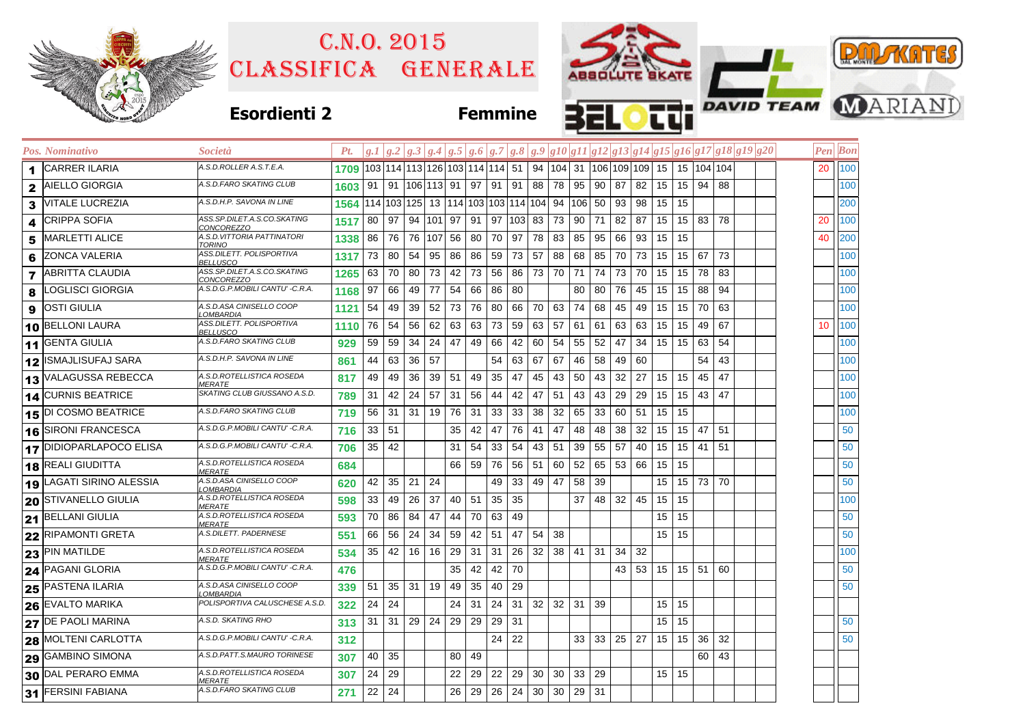|              |                         | C.N.0.2015                                        |                                                                         |                                                             |       |                      |    |          |                              |         |                   |    |                              |                   |             |    |                                              |                 |            |                      |    |                                                                                   |  |    | <b>PULL KATES</b> |                               |
|--------------|-------------------------|---------------------------------------------------|-------------------------------------------------------------------------|-------------------------------------------------------------|-------|----------------------|----|----------|------------------------------|---------|-------------------|----|------------------------------|-------------------|-------------|----|----------------------------------------------|-----------------|------------|----------------------|----|-----------------------------------------------------------------------------------|--|----|-------------------|-------------------------------|
|              |                         | CLASSIFICA GENERALE                               |                                                                         |                                                             |       |                      |    |          |                              |         |                   |    |                              |                   |             |    | ABSOLUTE SKATE                               |                 |            |                      |    |                                                                                   |  |    |                   |                               |
|              |                         |                                                   |                                                                         |                                                             |       |                      |    |          |                              |         |                   |    |                              |                   |             |    |                                              |                 |            |                      |    |                                                                                   |  |    |                   |                               |
|              |                         | <b>Esordienti 2</b>                               |                                                                         |                                                             |       |                      |    |          |                              |         | <b>Femmine</b>    |    |                              |                   | æ           |    |                                              |                 |            |                      |    |                                                                                   |  |    |                   | <b>THE DAVID TEAM MARIAND</b> |
|              | Pos. Nominativo         | <i>Società</i>                                    | Pt.                                                                     |                                                             |       |                      |    |          |                              |         |                   |    |                              |                   |             |    |                                              |                 |            |                      |    | $g.1 g.2 g.3 g.4 g.5 g.6 g.7 g.8 g.9 g10 g11 g12 g13 g14 g15 g16 g17 g18 g19 g20$ |  |    | <b>Pen</b> Bon    |                               |
| 1            | <b>CARRER ILARIA</b>    | 4.S.D.ROLLER A.S.T.E.A.                           | 1709 103 114 113 126 103 114 114 51 94 104 31 106 109 109 15 15 104 104 |                                                             |       |                      |    |          |                              |         |                   |    |                              |                   |             |    |                                              |                 |            |                      |    |                                                                                   |  |    | 20 100            |                               |
| $\mathbf{2}$ | AIELLO GIORGIA          | A.S.D.FARO SKATING CLUB                           | 1603   91   91   106   113   91   97   91   91                          |                                                             |       |                      |    |          |                              |         |                   |    |                              |                   | 88 78 95 90 |    | 87 82                                        | 15              |            | 15 94 88             |    |                                                                                   |  |    | 100               |                               |
| 3            | VITALE LUCREZIA         | 4.S.D.H.P. SAVONA IN LINE                         | 1564 114 103 125 13 114 103 103 114 104 94 106 50                       |                                                             |       |                      |    |          |                              |         |                   |    |                              |                   |             |    | 93 98                                        | 15 <sup>2</sup> | 15         |                      |    |                                                                                   |  |    | 200               |                               |
| 4            | CRIPPA SOFIA            | 4SS.SP.DILET.A.S.CO.SKATING<br><u>CONCOREZZO</u>  | 1517                                                                    | 80   97   94   101   97   91   97   103   83   73   90   71 |       |                      |    |          |                              |         |                   |    |                              |                   |             |    | 82 87                                        | 15              |            | 15 83 78             |    |                                                                                   |  | 20 | 100               |                               |
| 5            | MARLETTI ALICE          | 4.S.D.VITTORIA PATTINATORI<br><b>TORINO</b>       | 1338.                                                                   | 86                                                          |       | 76 76 107 56 80      |    |          |                              |         | 70 97             | 78 | 83 85                        |                   | 95          |    | 66 93                                        | 15              | 15         |                      |    |                                                                                   |  | 40 | 200               |                               |
| 6            | ZONCA VALERIA           | ASS.DILETT. POLISPORTIVA<br><u>BELLUSCO</u>       | 1317                                                                    | 73 80 54                                                    |       |                      | 95 | 86 86    |                              | 59      | 73                | 57 |                              | 88 68             | 85          |    | 70 73 15                                     |                 |            | 15 67 73             |    |                                                                                   |  |    | 100               |                               |
| 7            | <b>ABRITTA CLAUDIA</b>  | 4SS.SP.DILET.A.S.CO.SKATING<br><u>CONCOREZZO</u>  | 1265                                                                    | 63                                                          | 70 80 |                      | 73 | 42 73    |                              | 56      | 86                |    | 73 70 71                     |                   | 74          |    | 73 70                                        | 15              | 15         | 78                   | 83 |                                                                                   |  |    | 100               |                               |
| 8            | LOGLISCI GIORGIA        | 4.S.D.G.P.MOBILI CANTU' -C.R.A.                   | 1168                                                                    | 97                                                          | 66    | 49                   | 77 | 54       | 66                           | 86      | 80                |    |                              | 80                | 80          |    | 76 45                                        | 15              | 15         | 88 94                |    |                                                                                   |  |    | 100               |                               |
| 9            | OSTI GIULIA             | 4.S.D.ASA CINISELLO COOP<br><u>.OMBARDIA</u>      | 1121                                                                    | 54                                                          | 49    | 39 52                |    | 73 76    |                              | 80      | 66                |    | 70 63 74 68                  |                   |             |    | 45 49                                        | 15              |            | 15 70 63             |    |                                                                                   |  |    | 100               |                               |
| 10           | <b>BELLONI LAURA</b>    | 4SS.DILETT. POLISPORTIVA<br><u>BELLUSCO</u>       | 1110                                                                    | 76                                                          | 54 56 |                      | 62 | 63   63  |                              | 73      | 59                |    | $63 \mid 57 \mid 61$         |                   | 61          |    | 63 63                                        | 15              | 15         | 49                   | 67 |                                                                                   |  | 10 | 100               |                               |
| 11           | <b>GENTA GIULIA</b>     | 4.S.D.FARO SKATING CLUB                           | 929                                                                     | 59 59                                                       |       | 34                   | 24 | 47       | 49                           | 66      | 42                |    | 60 54 55                     |                   | 52          |    | 47 34                                        |                 | $15$ 15    | 63 54                |    |                                                                                   |  |    | 100               |                               |
| 12           | ISMAJLISUFAJ SARA       | 4.S.D.H.P. SAVONA IN LINE                         | 861                                                                     | 44                                                          |       | 63 36 57             |    |          |                              | 54      | 63                | 67 | 67                           | 46                | 58          |    | 49 60                                        |                 |            | 54                   | 43 |                                                                                   |  |    | 100               |                               |
|              | VALAGUSSA REBECCA       | A.S.D.ROTELLISTICA ROSEDA<br><i>MERATE</i>        | 817                                                                     | 49                                                          | 49    | 36                   | 39 | 51       | 49                           | 35      | 47                | 45 |                              | 43 50             | 43          |    | 32 27                                        | 15              | 15         | 45                   | 47 |                                                                                   |  |    | 100               |                               |
| 14           | <b>CURNIS BEATRICE</b>  | SKATING CLUB GIUSSANO A.S.D.                      | 789                                                                     | 31                                                          |       | 42 24 57             |    | 31       | 56                           | 44      | 42                | 47 | 51                           | 43                | 43          |    | 29 29                                        | 15              |            | $15 \mid 43 \mid 47$ |    |                                                                                   |  |    | 100               |                               |
| 15           | DI COSMO BEATRICE       | A.S.D.FARO SKATING CLUB                           | 719                                                                     | 56 31 31 19 76 31                                           |       |                      |    |          |                              | 33      | 33                | 38 | 32                           | 65                | 33          |    | 60 51                                        | 15              | 15         |                      |    |                                                                                   |  |    | 100               |                               |
| 16           | SIRONI FRANCESCA        | 4.S.D.G.P.MOBILI CANTU' -C.R.A.                   | 716                                                                     | 33   51                                                     |       |                      |    | 35       | 42                           | 47      | 76                | 41 | 47                           | 48                | 48          |    | $38 \mid 32$                                 | 15              |            | $15$   47   51       |    |                                                                                   |  |    | 50                |                               |
|              | 17 DIDIOPARLAPOCO ELISA | A.S.D.G.P.MOBILI CANTU' -C.R.A.                   | 706                                                                     | 35                                                          | 42    |                      |    | 31       | 54                           | 33      | 54                | 43 | 51                           | 39                | 55          | 57 | 40                                           | 15              |            | $15$ 41 51           |    |                                                                                   |  |    | 50                |                               |
| 18           | <b>REALI GIUDITTA</b>   | 4.S.D.ROTELLISTICA ROSEDA<br><i>IERATE</i>        | 684                                                                     |                                                             |       |                      |    | 66 59    |                              | 76      | 56                | 51 | 60                           | 52                | 65          |    | 53 66                                        | 15              | 15         |                      |    |                                                                                   |  |    | 50                |                               |
| 19           | LAGATI SIRINO ALESSIA   | 4.S.D.ASA CINISELLO COOP<br><u>_OMBARDIA</u>      | 620                                                                     | $42$ 35 21                                                  |       |                      | 24 |          |                              | 49      | 33                |    | 49 47                        | 58                | 39          |    |                                              | 15              |            | 15 73 70             |    |                                                                                   |  |    | 50                |                               |
| 20           | STIVANELLO GIULIA       | 4.S.D.ROTELLISTICA ROSEDA<br><i>IERATE</i>        | 598                                                                     | 33                                                          | 49    | 26                   | 37 | 40 51    |                              | 35      | 35                |    |                              | 37                | 48          |    | $32 \mid 45$                                 | 15              | 15         |                      |    |                                                                                   |  |    | 100               |                               |
| 21           | <b>BELLANI GIULIA</b>   | A.S.D.ROTELLISTICA ROSEDA<br><i>MERATE</i>        | 593                                                                     | 70                                                          | 86    | 84                   | 47 | 44 70    |                              | 63 49   |                   |    |                              |                   |             |    |                                              | 15              | 15         |                      |    |                                                                                   |  |    | 50                |                               |
|              | 22 RIPAMONTI GRETA      | A.S.DILETT. PADERNESE                             | 551                                                                     | 66                                                          | 56 24 |                      | 34 |          |                              |         | 59   42   51   47 | 54 | 38                           |                   |             |    |                                              |                 | 15 15      |                      |    |                                                                                   |  |    | 50                |                               |
|              | 23 PIN MATILDE          | 4.S.D.ROTELLISTICA ROSEDA<br><i><b>MERATE</b></i> | 534                                                                     | 35                                                          | 42    | 16                   | 16 |          |                              |         | $29$ 31 31 26     | 32 |                              |                   | $38$ 41 31  |    | $34 \mid 32$                                 |                 |            |                      |    |                                                                                   |  |    | 100               |                               |
|              | 24 PAGANI GLORIA        | A.S.D.G.P.MOBILI CANTU' -C.R.A.                   | 476                                                                     |                                                             |       |                      |    |          | $35 \mid 42 \mid 42 \mid 70$ |         |                   |    |                              |                   |             |    | $43 \mid 53 \mid 15 \mid 15 \mid 51 \mid 60$ |                 |            |                      |    |                                                                                   |  |    | 50                |                               |
| 25           | PASTENA ILARIA          | 4.S.D.ASA CINISELLO COOP<br><u>_OMBARDIA</u>      | 339                                                                     | 51                                                          |       | $35 \mid 31 \mid 19$ |    | 49 35 40 |                              |         | 29                |    |                              |                   |             |    |                                              |                 |            |                      |    |                                                                                   |  |    | 50                |                               |
| 26           | <b>EVALTO MARIKA</b>    | POLISPORTIVA CALUSCHESE A.S.D.                    | 322                                                                     | $24$ 24                                                     |       |                      |    |          | 24 31                        | 24      | 31                |    | $32 \mid 32 \mid 31 \mid 39$ |                   |             |    |                                              |                 | 15 15      |                      |    |                                                                                   |  |    |                   |                               |
| 27           | DE PAOLI MARINA         | A.S.D. SKATING RHO                                | 313                                                                     | 31                                                          |       | $31 \mid 29 \mid 24$ |    | $29$ 29  |                              | $29$ 31 |                   |    |                              |                   |             |    |                                              | 15 <sub>1</sub> | 15         |                      |    |                                                                                   |  |    | 50                |                               |
| 28           | MOLTENI CARLOTTA        | A.S.D.G.P.MOBILI CANTU' -C.R.A.                   | 312                                                                     |                                                             |       |                      |    |          |                              |         | 24 22             |    |                              |                   | 33 33       |    | 25 27                                        | 15              |            | $15 \mid 36 \mid 32$ |    |                                                                                   |  |    | 50                |                               |
| 29           | <b>GAMBINO SIMONA</b>   | A.S.D.PATT.S.MAURO TORINESE                       | 307                                                                     | 40 35                                                       |       |                      |    | 80       | 49                           |         |                   |    |                              |                   |             |    |                                              |                 |            | 60 43                |    |                                                                                   |  |    |                   |                               |
| 30           | DAL PERARO EMMA         | A.S.D.ROTELLISTICA ROSEDA<br><i>MERATE</i>        | 307                                                                     | 24                                                          | 29    |                      |    | 22       | 29                           | 22      | 29                | 30 |                              | $30 \mid 33 \mid$ | 29          |    |                                              |                 | $15 \, 15$ |                      |    |                                                                                   |  |    |                   |                               |
|              | 31 FERSINI FABIANA      | A.S.D.FARO SKATING CLUB                           | 271                                                                     | 22                                                          | 24    |                      |    | 26       | 29                           | 26      | 24                | 30 | 30                           | 29                | 31          |    |                                              |                 |            |                      |    |                                                                                   |  |    |                   |                               |